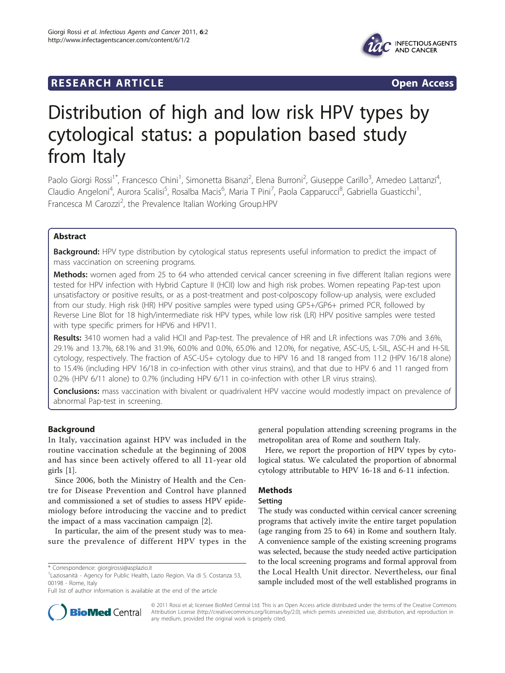# **RESEARCH ARTICLE Example 2018 CONSIDERING ACCESS**



# Distribution of high and low risk HPV types by cytological status: a population based study from Italy

Paolo Giorgi Rossi<sup>1\*</sup>, Francesco Chini<sup>1</sup>, Simonetta Bisanzi<sup>2</sup>, Elena Burroni<sup>2</sup>, Giuseppe Carillo<sup>3</sup>, Amedeo Lattanzi<sup>4</sup> , Claudio Angeloni<sup>4</sup>, Aurora Scalisi<sup>5</sup>, Rosalba Macis<sup>6</sup>, Maria T Pini<sup>7</sup>, Paola Capparucci<sup>8</sup>, Gabriella Guasticchi<sup>1</sup> , Francesca M Carozzi<sup>2</sup>, the Prevalence Italian Working Group.HPV

# Abstract

Background: HPV type distribution by cytological status represents useful information to predict the impact of mass vaccination on screening programs.

**Methods:** women aged from 25 to 64 who attended cervical cancer screening in five different Italian regions were tested for HPV infection with Hybrid Capture II (HCII) low and high risk probes. Women repeating Pap-test upon unsatisfactory or positive results, or as a post-treatment and post-colposcopy follow-up analysis, were excluded from our study. High risk (HR) HPV positive samples were typed using GP5+/GP6+ primed PCR, followed by Reverse Line Blot for 18 high/intermediate risk HPV types, while low risk (LR) HPV positive samples were tested with type specific primers for HPV6 and HPV11.

Results: 3410 women had a valid HCII and Pap-test. The prevalence of HR and LR infections was 7.0% and 3.6%, 29.1% and 13.7%, 68.1% and 31.9%, 60.0% and 0.0%, 65.0% and 12.0%, for negative, ASC-US, L-SIL, ASC-H and H-SIL cytology, respectively. The fraction of ASC-US+ cytology due to HPV 16 and 18 ranged from 11.2 (HPV 16/18 alone) to 15.4% (including HPV 16/18 in co-infection with other virus strains), and that due to HPV 6 and 11 ranged from 0.2% (HPV 6/11 alone) to 0.7% (including HPV 6/11 in co-infection with other LR virus strains).

Conclusions: mass vaccination with bivalent or quadrivalent HPV vaccine would modestly impact on prevalence of abnormal Pap-test in screening.

# Background

In Italy, vaccination against HPV was included in the routine vaccination schedule at the beginning of 2008 and has since been actively offered to all 11-year old girls [\[1](#page-6-0)].

Since 2006, both the Ministry of Health and the Centre for Disease Prevention and Control have planned and commissioned a set of studies to assess HPV epidemiology before introducing the vaccine and to predict the impact of a mass vaccination campaign [[2\]](#page-6-0).

In particular, the aim of the present study was to measure the prevalence of different HPV types in the

Full list of author information is available at the end of the article



Here, we report the proportion of HPV types by cytological status. We calculated the proportion of abnormal cytology attributable to HPV 16-18 and 6-11 infection.

# Methods

# Setting

The study was conducted within cervical cancer screening programs that actively invite the entire target population (age ranging from 25 to 64) in Rome and southern Italy. A convenience sample of the existing screening programs was selected, because the study needed active participation to the local screening programs and formal approval from the Local Health Unit director. Nevertheless, our final sample included most of the well established programs in



© 2011 Rossi et al; licensee BioMed Central Ltd. This is an Open Access article distributed under the terms of the Creative Commons Attribution License [\(http://creativecommons.org/licenses/by/2.0](http://creativecommons.org/licenses/by/2.0)), which permits unrestricted use, distribution, and reproduction in any medium, provided the original work is properly cited.

<sup>\*</sup> Correspondence: [giorgirossi@asplazio.it](mailto:giorgirossi@asplazio.it)

<sup>1</sup> Laziosanità - Agency for Public Health, Lazio Region. Via di S. Costanza 53, 00198 - Rome, Italy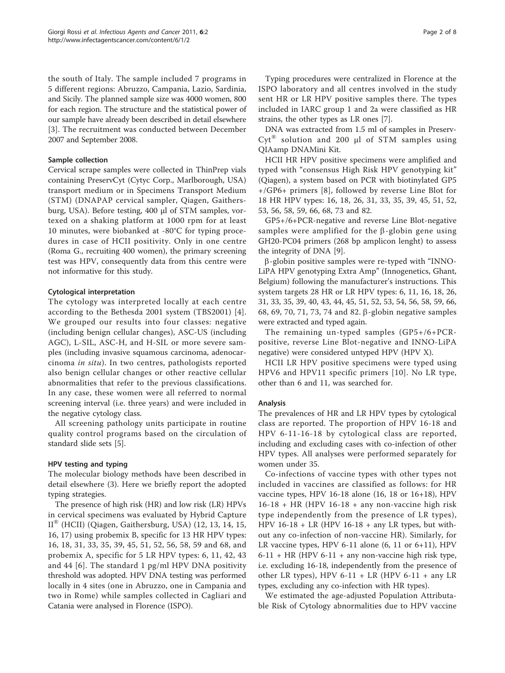the south of Italy. The sample included 7 programs in 5 different regions: Abruzzo, Campania, Lazio, Sardinia, and Sicily. The planned sample size was 4000 women, 800 for each region. The structure and the statistical power of our sample have already been described in detail elsewhere [[3](#page-6-0)]. The recruitment was conducted between December 2007 and September 2008.

# Sample collection

Cervical scrape samples were collected in ThinPrep vials containing PreservCyt (Cytyc Corp., Marlborough, USA) transport medium or in Specimens Transport Medium (STM) (DNAPAP cervical sampler, Qiagen, Gaithersburg, USA). Before testing, 400 μl of STM samples, vortexed on a shaking platform at 1000 rpm for at least 10 minutes, were biobanked at -80°C for typing procedures in case of HCII positivity. Only in one centre (Roma G., recruiting 400 women), the primary screening test was HPV, consequently data from this centre were not informative for this study.

# Cytological interpretation

The cytology was interpreted locally at each centre according to the Bethesda 2001 system (TBS2001) [[4](#page-6-0)]. We grouped our results into four classes: negative (including benign cellular changes), ASC-US (including AGC), L-SIL, ASC-H, and H-SIL or more severe samples (including invasive squamous carcinoma, adenocarcinoma in situ). In two centres, pathologists reported also benign cellular changes or other reactive cellular abnormalities that refer to the previous classifications. In any case, these women were all referred to normal screening interval (i.e. three years) and were included in the negative cytology class.

All screening pathology units participate in routine quality control programs based on the circulation of standard slide sets [\[5](#page-6-0)].

### HPV testing and typing

The molecular biology methods have been described in detail elsewhere (3). Here we briefly report the adopted typing strategies.

The presence of high risk (HR) and low risk (LR) HPVs in cervical specimens was evaluated by Hybrid Capture II® (HCII) (Qiagen, Gaithersburg, USA) (12, 13, 14, 15, 16, 17) using probemix B, specific for 13 HR HPV types: 16, 18, 31, 33, 35, 39, 45, 51, 52, 56, 58, 59 and 68, and probemix A, specific for 5 LR HPV types: 6, 11, 42, 43 and 44 [[6](#page-6-0)]. The standard 1 pg/ml HPV DNA positivity threshold was adopted. HPV DNA testing was performed locally in 4 sites (one in Abruzzo, one in Campania and two in Rome) while samples collected in Cagliari and Catania were analysed in Florence (ISPO).

Typing procedures were centralized in Florence at the ISPO laboratory and all centres involved in the study sent HR or LR HPV positive samples there. The types included in IARC group 1 and 2a were classified as HR strains, the other types as LR ones [[7\]](#page-6-0).

DNA was extracted from 1.5 ml of samples in Preserv- $\text{Cyt}^{\otimes}$  solution and 200 µl of STM samples using QIAamp DNAMini Kit.

HCII HR HPV positive specimens were amplified and typed with "consensus High Risk HPV genotyping kit" (Qiagen), a system based on PCR with biotinylated GP5 +/GP6+ primers [[8](#page-6-0)], followed by reverse Line Blot for 18 HR HPV types: 16, 18, 26, 31, 33, 35, 39, 45, 51, 52, 53, 56, 58, 59, 66, 68, 73 and 82.

GP5+/6+PCR-negative and reverse Line Blot-negative samples were amplified for the  $\beta$ -globin gene using GH20-PC04 primers (268 bp amplicon lenght) to assess the integrity of DNA [[9\]](#page-6-0).

 $\beta$ -globin positive samples were re-typed with "INNO-LiPA HPV genotyping Extra Amp" (Innogenetics, Ghant, Belgium) following the manufacturer's instructions. This system targets 28 HR or LR HPV types: 6, 11, 16, 18, 26, 31, 33, 35, 39, 40, 43, 44, 45, 51, 52, 53, 54, 56, 58, 59, 66, 68, 69, 70, 71, 73, 74 and 82.  $\beta$ -globin negative samples were extracted and typed again.

The remaining un-typed samples (GP5+/6+PCRpositive, reverse Line Blot-negative and INNO-LiPA negative) were considered untyped HPV (HPV X).

HCII LR HPV positive specimens were typed using HPV6 and HPV11 specific primers [[10\]](#page-6-0). No LR type, other than 6 and 11, was searched for.

# Analysis

The prevalences of HR and LR HPV types by cytological class are reported. The proportion of HPV 16-18 and HPV 6-11-16-18 by cytological class are reported, including and excluding cases with co-infection of other HPV types. All analyses were performed separately for women under 35.

Co-infections of vaccine types with other types not included in vaccines are classified as follows: for HR vaccine types, HPV 16-18 alone (16, 18 or 16+18), HPV  $16-18$  + HR (HPV 16-18 + any non-vaccine high risk type independently from the presence of LR types), HPV 16-18 + LR (HPV 16-18 + any LR types, but without any co-infection of non-vaccine HR). Similarly, for LR vaccine types, HPV 6-11 alone  $(6, 11 \text{ or } 6+11)$ , HPV  $6-11$  + HR (HPV  $6-11$  + any non-vaccine high risk type, i.e. excluding 16-18, independently from the presence of other LR types), HPV  $6-11 + LR$  (HPV  $6-11 + any LR$ types, excluding any co-infection with HR types).

We estimated the age-adjusted Population Attributable Risk of Cytology abnormalities due to HPV vaccine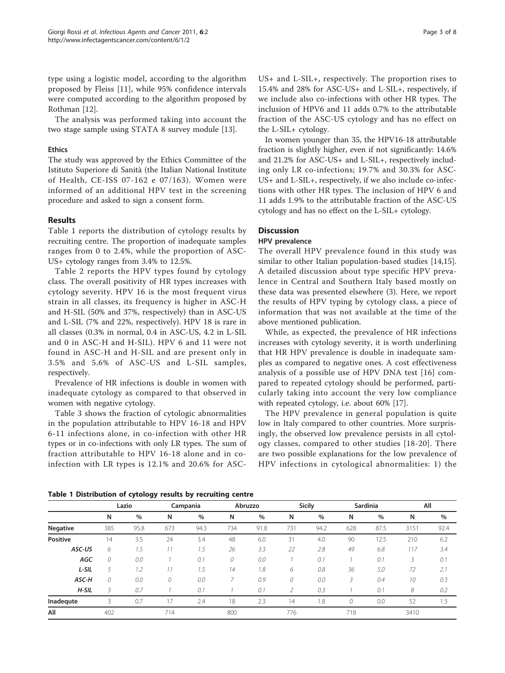type using a logistic model, according to the algorithm proposed by Fleiss [\[11](#page-6-0)], while 95% confidence intervals were computed according to the algorithm proposed by Rothman [[12](#page-6-0)].

The analysis was performed taking into account the two stage sample using STATA 8 survey module [[13](#page-6-0)].

# Ethics

The study was approved by the Ethics Committee of the Istituto Superiore di Sanità (the Italian National Institute of Health, CE-ISS 07-162 e 07/163). Women were informed of an additional HPV test in the screening procedure and asked to sign a consent form.

# Results

Table 1 reports the distribution of cytology results by recruiting centre. The proportion of inadequate samples ranges from 0 to 2.4%, while the proportion of ASC-US+ cytology ranges from 3.4% to 12.5%.

Table [2](#page-3-0) reports the HPV types found by cytology class. The overall positivity of HR types increases with cytology severity. HPV 16 is the most frequent virus strain in all classes, its frequency is higher in ASC-H and H-SIL (50% and 37%, respectively) than in ASC-US and L-SIL (7% and 22%, respectively). HPV 18 is rare in all classes (0.3% in normal, 0.4 in ASC-US, 4.2 in L-SIL and 0 in ASC-H and H-SIL). HPV 6 and 11 were not found in ASC-H and H-SIL and are present only in 3.5% and 5.6% of ASC-US and L-SIL samples, respectively.

Prevalence of HR infections is double in women with inadequate cytology as compared to that observed in women with negative cytology.

Table [3](#page-4-0) shows the fraction of cytologic abnormalities in the population attributable to HPV 16-18 and HPV 6-11 infections alone, in co-infection with other HR types or in co-infections with only LR types. The sum of fraction attributable to HPV 16-18 alone and in coinfection with LR types is 12.1% and 20.6% for ASC- US+ and L-SIL+, respectively. The proportion rises to 15.4% and 28% for ASC-US+ and L-SIL+, respectively, if we include also co-infections with other HR types. The inclusion of HPV6 and 11 adds 0.7% to the attributable fraction of the ASC-US cytology and has no effect on the L-SIL+ cytology.

In women younger than 35, the HPV16-18 attributable fraction is slightly higher, even if not significantly: 14.6% and 21.2% for ASC-US+ and L-SIL+, respectively including only LR co-infections; 19.7% and 30.3% for ASC-US+ and L-SIL+, respectively, if we also include co-infections with other HR types. The inclusion of HPV 6 and 11 adds 1.9% to the attributable fraction of the ASC-US cytology and has no effect on the L-SIL+ cytology.

# **Discussion**

# HPV prevalence

The overall HPV prevalence found in this study was similar to other Italian population-based studies [\[14,15](#page-6-0)]. A detailed discussion about type specific HPV prevalence in Central and Southern Italy based mostly on these data was presented elsewhere (3). Here, we report the results of HPV typing by cytology class, a piece of information that was not available at the time of the above mentioned publication.

While, as expected, the prevalence of HR infections increases with cytology severity, it is worth underlining that HR HPV prevalence is double in inadequate samples as compared to negative ones. A cost effectiveness analysis of a possible use of HPV DNA test [[16\]](#page-6-0) compared to repeated cytology should be performed, particularly taking into account the very low compliance with repeated cytology, i.e. about 60% [\[17](#page-6-0)].

The HPV prevalence in general population is quite low in Italy compared to other countries. More surprisingly, the observed low prevalence persists in all cytology classes, compared to other studies [[18-20\]](#page-6-0). There are two possible explanations for the low prevalence of HPV infections in cytological abnormalities: 1) the

Table 1 Distribution of cytology results by recruiting centre

|                 | Lazio    |      | Campania |      | Abruzzo |      | <b>Sicily</b> |      | Sardinia      |      | All  |      |
|-----------------|----------|------|----------|------|---------|------|---------------|------|---------------|------|------|------|
|                 | N        | $\%$ | N        | $\%$ | Ν       | $\%$ | N             | $\%$ | N             | $\%$ | N    | %    |
| <b>Negative</b> | 385      | 95.8 | 673      | 94.3 | 734     | 91.8 | 731           | 94.2 | 628           | 87.5 | 3151 | 92.4 |
| Positive        | 14       | 3.5  | 24       | 3.4  | 48      | 6.0  | 31            | 4.0  | 90            | 12.5 | 210  | 6.2  |
| ASC-US          | 6        | 1.5  | 11       | 1.5  | 26      | 3.3  | 22            | 2.8  | 49            | 6.8  | 117  | 3.4  |
| AGC             | 0        | 0.0  |          | 0.1  | 0       | 0.0  |               | 0.1  |               | 0.1  | 3    | 0.1  |
| $L-SIL$         | 5        | 1.2  |          | 1.5  | 14      | 1.8  | 6             | 0.8  | 36            | 5.0  | 72   | 2.1  |
| ASC-H           | $\Omega$ | 0.0  | 0        | 0.0  |         | 0.9  | 0             | 0.0  | 3             | 0.4  | 10   | 0.3  |
| $H-SIL$         | 3        | 0.7  |          | 0.1  |         | 0.1  |               | 0.3  |               | 0.1  | 8    | 0.2  |
| Inadequte       | 3        | 0.7  | 17       | 2.4  | 18      | 2.3  | 14            | 1.8  | $\mathcal{O}$ | 0.0  | 52   | 1.5  |
| All             | 402      |      | 714      |      | 800     |      | 776           |      | 718           |      | 3410 |      |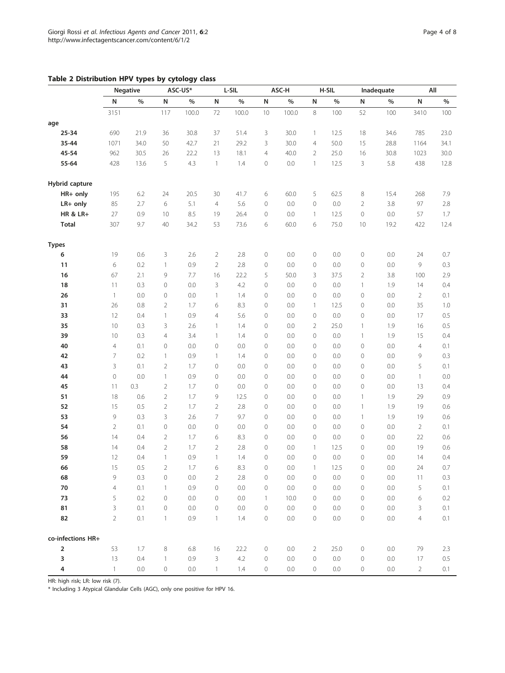#### <span id="page-3-0"></span>Table 2 Distribution HPV types by cytology class

|                     | <b>Negative</b> |      | ASC-US*        |       |                | L-SIL |                     | ASC-H   |                | H-SIL |                | Inadequate | All            |      |
|---------------------|-----------------|------|----------------|-------|----------------|-------|---------------------|---------|----------------|-------|----------------|------------|----------------|------|
|                     | N               | $\%$ | ${\sf N}$      | $\%$  | ${\sf N}$      | $\%$  | ${\sf N}$           | $\%$    | N              | $\%$  | N              | $\%$       | N              | $\%$ |
|                     | 3151            |      | 117            | 100.0 | 72             | 100.0 | 10                  | 100.0   | 8              | 100   | 52             | 100        | 3410           | 100  |
| age                 |                 |      |                |       |                |       |                     |         |                |       |                |            |                |      |
| $25 - 34$           | 690             | 21.9 | 36             | 30.8  | 37             | 51.4  | 3                   | 30.0    | $\mathbf{1}$   | 12.5  | 18             | 34.6       | 785            | 23.0 |
| 35-44               | 1071            | 34.0 | 50             | 42.7  | 21             | 29.2  | 3                   | 30.0    | $\overline{4}$ | 50.0  | 15             | 28.8       | 1164           | 34.1 |
| 45-54               | 962             | 30.5 | 26             | 22.2  | 13             | 18.1  | $\overline{4}$      | 40.0    | $\overline{2}$ | 25.0  | 16             | 30.8       | 1023           | 30.0 |
| 55-64               | 428             | 13.6 | 5              | 4.3   | $\mathbf{1}$   | 1.4   | $\circ$             | $0.0\,$ | $\mathbf{1}$   | 12.5  | 3              | 5.8        | 438            | 12.8 |
| Hybrid capture      |                 |      |                |       |                |       |                     |         |                |       |                |            |                |      |
| HR+ only            | 195             | 6.2  | 24             | 20.5  | 30             | 41.7  | 6                   | 60.0    | 5              | 62.5  | 8              | 15.4       | 268            | 7.9  |
| $LR+$ only          | 85              | 2.7  | 6              | 5.1   | $\overline{4}$ | 5.6   | $\mathcal{O}$       | 0.0     | $\overline{0}$ | 0.0   | $\overline{2}$ | 3.8        | 97             | 2.8  |
| <b>HR &amp; LR+</b> | 27              | 0.9  | 10             | 8.5   | 19             | 26.4  | $\circledcirc$      | 0.0     | $\overline{1}$ | 12.5  | $\circ$        | 0.0        | 57             | 1.7  |
| <b>Total</b>        | 307             | 9.7  | 40             | 34.2  | 53             | 73.6  | 6                   | 60.0    | 6              | 75.0  | 10             | 19.2       | 422            | 12.4 |
| <b>Types</b>        |                 |      |                |       |                |       |                     |         |                |       |                |            |                |      |
| 6                   | 19              | 0.6  | 3              | 2.6   | 2              | 2.8   | $\mathsf{O}\xspace$ | 0.0     | $\circ$        | 0.0   | $\circ$        | 0.0        | 24             | 0.7  |
| 11                  | 6               | 0.2  | $\mathbf{1}$   | 0.9   | $\overline{2}$ | 2.8   | $\circ$             | 0.0     | $\overline{0}$ | 0.0   | $\circ$        | 0.0        | 9              | 0.3  |
| 16                  | 67              | 2.1  | 9              | 7.7   | 16             | 22.2  | 5                   | 50.0    | 3              | 37.5  | $\overline{2}$ | 3.8        | 100            | 2.9  |
| 18                  | 11              | 0.3  | $\mathbf 0$    | 0.0   | 3              | 4.2   | $\circ$             | 0.0     | $\mathbf 0$    | 0.0   | 1              | 1.9        | 14             | 0.4  |
| 26                  | $\mathbf{1}$    | 0.0  | $\circ$        | 0.0   | $\mathbf{1}$   | 1.4   | $\circ$             | 0.0     | $\mathbf 0$    | 0.0   | $\circ$        | 0.0        | $\overline{2}$ | 0.1  |
| 31                  | 26              | 0.8  | $\overline{2}$ | 1.7   | 6              | 8.3   | $\circ$             | 0.0     | $\mathbf{1}$   | 12.5  | $\circ$        | 0.0        | 35             | 1.0  |
| 33                  | 12              | 0.4  | $\mathbf{1}$   | 0.9   | $\overline{4}$ | 5.6   | $\circledcirc$      | 0.0     | $\overline{0}$ | 0.0   | $\overline{0}$ | 0.0        | 17             | 0.5  |
| 35                  | 10              | 0.3  | 3              | 2.6   | $\mathbf{1}$   | 1.4   | $\overline{0}$      | 0.0     | $\overline{2}$ | 25.0  | $\mathbf{1}$   | 1.9        | 16             | 0.5  |
| 39                  | 10              | 0.3  | $\overline{4}$ | 3.4   | $\mathbf{1}$   | 1.4   | $\overline{0}$      | 0.0     | $\overline{0}$ | 0.0   | $\mathbf{1}$   | 1.9        | 15             | 0.4  |
| 40                  | $\overline{4}$  | 0.1  | $\overline{O}$ | 0.0   | $\overline{0}$ | 0.0   | $\overline{0}$      | 0.0     | $\circ$        | 0.0   | $\mathbf{0}$   | 0.0        | $\overline{4}$ | 0.1  |
| 42                  | 7               | 0.2  | 1              | 0.9   | 1              | 1.4   | $\circ$             | 0.0     | $\circ$        | 0.0   | $\circ$        | 0.0        | 9              | 0.3  |
| 43                  | 3               | 0.1  | $\overline{2}$ | 1.7   | $\circ$        | 0.0   | $\circ$             | 0.0     | $\circ$        | 0.0   | $\mathbf 0$    | 0.0        | 5              | 0.1  |
| 44                  | $\mathbf 0$     | 0.0  | $\mathbf{1}$   | 0.9   | $\mathbf 0$    | 0.0   | $\overline{0}$      | 0.0     | $\circ$        | 0.0   | $\mathbf 0$    | 0.0        | $\mathbf{1}$   | 0.0  |
| 45                  | 11              | 0.3  | $\overline{2}$ | 1.7   | $\mathbf 0$    | 0.0   | $\circ$             | 0.0     | $\circ$        | 0.0   | $\overline{0}$ | 0.0        | 13             | 0.4  |
| 51                  | 18              | 0.6  | $\overline{2}$ | 1.7   | 9              | 12.5  | $\overline{0}$      | 0.0     | $\mathbf{0}$   | 0.0   | $\mathbf{1}$   | 1.9        | 29             | 0.9  |
| 52                  | 15              | 0.5  | $\overline{2}$ | 1.7   | $\overline{2}$ | 2.8   | $\mathbf 0$         | 0.0     | $\overline{0}$ | 0.0   | $\mathbf{1}$   | 1.9        | 19             | 0.6  |
| 53                  | 9               | 0.3  | 3              | 2.6   | 7              | 9.7   | $\mathbf 0$         | 0.0     | $\overline{0}$ | 0.0   | $\mathbf{1}$   | 1.9        | 19             | 0.6  |
| 54                  | $\overline{2}$  | 0.1  | $\circ$        | 0.0   | $\mathbf 0$    | 0.0   | $\circ$             | 0.0     | $\circ$        | 0.0   | $\circ$        | 0.0        | $\overline{2}$ | 0.1  |
| 56                  | 14              | 0.4  | $\overline{2}$ | 1.7   | 6              | 8.3   | $\overline{0}$      | 0.0     | $\overline{0}$ | 0.0   | $\overline{O}$ | 0.0        | 22             | 0.6  |

| 73                                                             |    | 0.2 | 0 | 0.0 | $\circ$      | 0.0  |         | 10.0 | $\mathbf{0}$ | 0.0  | 0 | 0.0 | 6              | 0.2 |
|----------------------------------------------------------------|----|-----|---|-----|--------------|------|---------|------|--------------|------|---|-----|----------------|-----|
| 81                                                             | 3  | 0.1 | 0 | 0.0 | $\mathbf{0}$ | 0.0  | 0       | 0.0  | 0            | 0.0  | 0 | 0.0 | 3              | 0.1 |
| 82                                                             |    | 0.1 |   | 0.9 |              | 1.4  | 0       | 0.0  | $\mathbf{0}$ | 0.0  | 0 | 0.0 | $\overline{4}$ | 0.1 |
| co-infections HR+                                              |    |     |   |     |              |      |         |      |              |      |   |     |                |     |
| 2                                                              | 53 | .7  | 8 | 6.8 | 16           | 22.2 | $\circ$ | 0.0  | 2            | 25.0 | 0 | 0.0 | 79             | 2.3 |
| 3                                                              | 13 | 0.4 |   | 0.9 | 3            | 4.2  | 0       | 0.0  | $\mathbf{0}$ | 0.0  | 0 | 0.0 | 17             | 0.5 |
| 4                                                              |    | 0.0 | 0 | 0.0 |              | 1.4  | $\circ$ | 0.0  | $\circ$      | 0.0  | 0 | 0.0 |                | 0.1 |
| $1.10 \pm 0.1$ , $1.1 \pm 0.1$ , $1.1 \pm 0.1$ , $1.1 \pm 0.1$ |    |     |   |     |              |      |         |      |              |      |   |     |                |     |

 14 0.4 2 1.7 2 2.8 0 0.0 1 12.5 0 0.0 19 0.6 12 0.4 1 0.9 1 1.4 0 0.0 0 0.0 0 0.0 14 0.4 15 0.5 2 1.7 6 8.3 0 0.0 1 12.5 0 0.0 24 0.7 9 0.3 0 0.0 2 2.8 0 0.0 0 0.0 0 0.0 11 0.3 4 0.1 1 0.9 0 0.0 0 0.0 0 0.0 0 0.0 5 0.1

HR: high risk; LR: low risk (7).

\* Including 3 Atypical Glandular Cells (AGC), only one positive for HPV 16.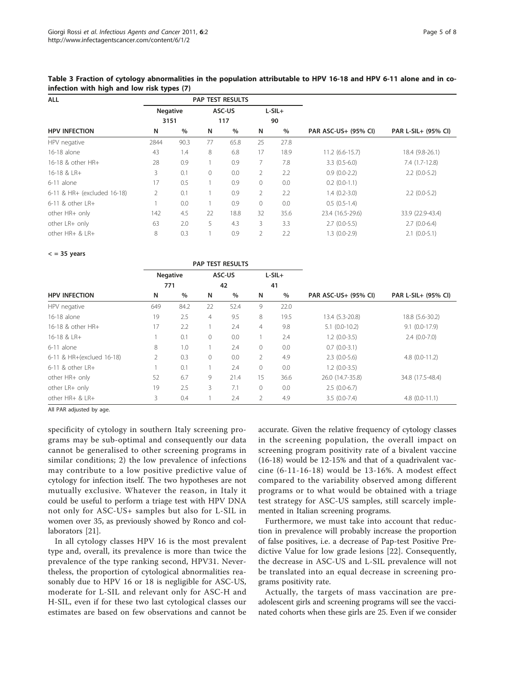| ALL                         |                 |      |              | <b>PAP TEST RESULTS</b> |                |          |                      |                     |  |
|-----------------------------|-----------------|------|--------------|-------------------------|----------------|----------|----------------------|---------------------|--|
|                             | <b>Negative</b> |      | ASC-US       |                         |                | $L-SIL+$ |                      |                     |  |
|                             | 3151            |      | 117          |                         | 90             |          |                      |                     |  |
| <b>HPV INFECTION</b>        | N               | %    | N            | $\%$                    | N              | $\%$     | PAR ASC-US+ (95% CI) | PAR L-SIL+ (95% CI) |  |
| HPV negative                | 2844            | 90.3 | 77           | 65.8                    | 25             | 27.8     |                      |                     |  |
| 16-18 alone                 | 43              | 1.4  | 8            | 6.8                     | 17             | 18.9     | $11.2(6.6-15.7)$     | 18.4 (9.8-26.1)     |  |
| 16-18 & other HR+           | 28              | 0.9  |              | 0.9                     | 7.             | 7.8      | $3.3(0.5-6.0)$       | $7.4(1.7-12.8)$     |  |
| 16-18 & LR+                 | 3               | 0.1  | $\mathbf{0}$ | 0.0                     | $\overline{2}$ | 2.2      | $0.9(0.0-2.2)$       | $2.2$ (0.0-5.2)     |  |
| 6-11 alone                  | 17              | 0.5  |              | 0.9                     | 0              | 0.0      | $0.2$ $(0.0-1.1)$    |                     |  |
| 6-11 & HR+ (excluded 16-18) | 2               | 0.1  |              | 0.9                     | $\overline{2}$ | 2.2      | $1.4(0.2-3.0)$       | $2.2$ (0.0-5.2)     |  |
| $6-11$ & other LR+          |                 | 0.0  |              | 0.9                     | 0              | 0.0      | $0.5(0.5-1.4)$       |                     |  |
| other HR+ only              | 142             | 4.5  | 22           | 18.8                    | 32             | 35.6     | 23.4 (16.5-29.6)     | 33.9 (22.9-43.4)    |  |
| other LR+ only              | 63              | 2.0  | 5            | 4.3                     | 3              | 3.3      | $2.7(0.0-5.5)$       | $2.7(0.0-6.4)$      |  |
| other $HR+ R$   $R+$        | 8               | 0.3  |              | 0.9                     | 2              | 2.2      | $1.3(0.0-2.9)$       | $2.1$ (0.0-5.1)     |  |

<span id="page-4-0"></span>

| Table 3 Fraction of cytology abnormalities in the population attributable to HPV 16-18 and HPV 6-11 alone and in co- |  |  |  |  |  |
|----------------------------------------------------------------------------------------------------------------------|--|--|--|--|--|
| infection with high and low risk types (7)                                                                           |  |  |  |  |  |

#### $<$  = 35 years

|                           |                 |      |                | <b>PAP TEST RESULTS</b> |              |          |                      |                     |
|---------------------------|-----------------|------|----------------|-------------------------|--------------|----------|----------------------|---------------------|
|                           | <b>Negative</b> |      | ASC-US<br>42   |                         |              | $L-SIL+$ |                      |                     |
|                           |                 | 771  |                |                         | 41           |          |                      |                     |
| <b>HPV INFECTION</b>      | N               | $\%$ | N              | $\%$                    | N            | $\%$     | PAR ASC-US+ (95% CI) | PAR L-SIL+ (95% CI) |
| HPV negative              | 649             | 84.2 | 22             | 52.4                    | 9            | 22.0     |                      |                     |
| 16-18 alone               | 19              | 2.5  | $\overline{4}$ | 9.5                     | 8            | 19.5     | 13.4 (5.3-20.8)      | 18.8 (5.6-30.2)     |
| 16-18 & other HR+         | 17              | 2.2  |                | 2.4                     | 4            | 9.8      | $5.1$ (0.0-10.2)     | $9.1 (0.0 - 17.9)$  |
| $16-18$ & $IR+$           |                 | 0.1  | $\circ$        | 0.0                     |              | 2.4      | $1.2(0.0-3.5)$       | $2.4(0.0-7.0)$      |
| 6-11 alone                | 8               | 1.0  |                | 2.4                     | $\mathbf{0}$ | 0.0      | $0.7(0.0-3.1)$       |                     |
| 6-11 & HR+(exclued 16-18) | 2               | 0.3  | $\Omega$       | 0.0                     | 2            | 4.9      | $2.3(0.0-5.6)$       | $4.8(0.0-11.2)$     |
| $6-11$ & other LR+        |                 | 0.1  |                | 2.4                     | $\circ$      | 0.0      | $1.2(0.0-3.5)$       |                     |
| other HR+ only            | 52              | 6.7  | 9              | 21.4                    | 15           | 36.6     | 26.0 (14.7-35.8)     | 34.8 (17.5-48.4)    |
| other LR+ only            | 19              | 2.5  | 3              | 7.1                     | $\Omega$     | 0.0      | $2.5(0.0-6.7)$       |                     |
| other $HR+ 8 IR+$         | 3               | 0.4  |                | 2.4                     | 2            | 4.9      | $3.5(0.0-7.4)$       | $4.8(0.0-11.1)$     |

All PAR adjusted by age.

specificity of cytology in southern Italy screening programs may be sub-optimal and consequently our data cannot be generalised to other screening programs in similar conditions; 2) the low prevalence of infections may contribute to a low positive predictive value of cytology for infection itself. The two hypotheses are not mutually exclusive. Whatever the reason, in Italy it could be useful to perform a triage test with HPV DNA not only for ASC-US+ samples but also for L-SIL in women over 35, as previously showed by Ronco and collaborators [[21\]](#page-6-0).

In all cytology classes HPV 16 is the most prevalent type and, overall, its prevalence is more than twice the prevalence of the type ranking second, HPV31. Nevertheless, the proportion of cytological abnormalities reasonably due to HPV 16 or 18 is negligible for ASC-US, moderate for L-SIL and relevant only for ASC-H and H-SIL, even if for these two last cytological classes our estimates are based on few observations and cannot be accurate. Given the relative frequency of cytology classes in the screening population, the overall impact on screening program positivity rate of a bivalent vaccine (16-18) would be 12-15% and that of a quadrivalent vaccine (6-11-16-18) would be 13-16%. A modest effect compared to the variability observed among different programs or to what would be obtained with a triage test strategy for ASC-US samples, still scarcely implemented in Italian screening programs.

Furthermore, we must take into account that reduction in prevalence will probably increase the proportion of false positives, i.e. a decrease of Pap-test Positive Predictive Value for low grade lesions [[22\]](#page-6-0). Consequently, the decrease in ASC-US and L-SIL prevalence will not be translated into an equal decrease in screening programs positivity rate.

Actually, the targets of mass vaccination are preadolescent girls and screening programs will see the vaccinated cohorts when these girls are 25. Even if we consider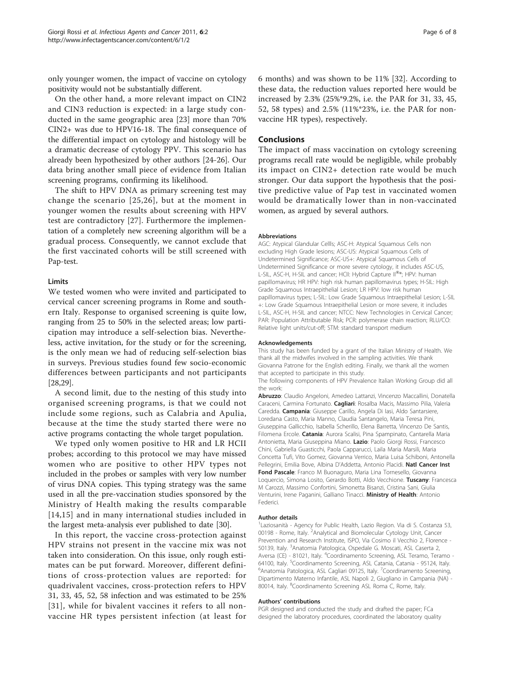only younger women, the impact of vaccine on cytology positivity would not be substantially different.

On the other hand, a more relevant impact on CIN2 and CIN3 reduction is expected: in a large study conducted in the same geographic area [[23\]](#page-6-0) more than 70% CIN2+ was due to HPV16-18. The final consequence of the differential impact on cytology and histology will be a dramatic decrease of cytology PPV. This scenario has already been hypothesized by other authors [\[24](#page-6-0)-[26](#page-6-0)]. Our data bring another small piece of evidence from Italian screening programs, confirming its likelihood.

The shift to HPV DNA as primary screening test may change the scenario [[25,26](#page-6-0)], but at the moment in younger women the results about screening with HPV test are contradictory [[27\]](#page-6-0). Furthermore the implementation of a completely new screening algorithm will be a gradual process. Consequently, we cannot exclude that the first vaccinated cohorts will be still screened with Pap-test.

# Limits

We tested women who were invited and participated to cervical cancer screening programs in Rome and southern Italy. Response to organised screening is quite low, ranging from 25 to 50% in the selected areas; low participation may introduce a self-selection bias. Nevertheless, active invitation, for the study or for the screening, is the only mean we had of reducing self-selection bias in surveys. Previous studies found few socio-economic differences between participants and not participants [[28,29\]](#page-6-0).

A second limit, due to the nesting of this study into organised screening programs, is that we could not include some regions, such as Calabria and Apulia, because at the time the study started there were no active programs contacting the whole target population.

We typed only women positive to HR and LR HCII probes; according to this protocol we may have missed women who are positive to other HPV types not included in the probes or samples with very low number of virus DNA copies. This typing strategy was the same used in all the pre-vaccination studies sponsored by the Ministry of Health making the results comparable [[14](#page-6-0),[15](#page-6-0)] and in many international studies included in the largest meta-analysis ever published to date [\[30\]](#page-6-0).

In this report, the vaccine cross-protection against HPV strains not present in the vaccine mix was not taken into consideration. On this issue, only rough estimates can be put forward. Moreover, different definitions of cross-protection values are reported: for quadrivalent vaccines, cross-protection refers to HPV 31, 33, 45, 52, 58 infection and was estimated to be 25% [[31\]](#page-7-0), while for bivalent vaccines it refers to all nonvaccine HR types persistent infection (at least for

6 months) and was shown to be 11% [[32](#page-7-0)]. According to these data, the reduction values reported here would be increased by 2.3% (25%\*9.2%, i.e. the PAR for 31, 33, 45, 52, 58 types) and 2.5% (11%\*23%, i.e. the PAR for nonvaccine HR types), respectively.

# Conclusions

The impact of mass vaccination on cytology screening programs recall rate would be negligible, while probably its impact on CIN2+ detection rate would be much stronger. Our data support the hypothesis that the positive predictive value of Pap test in vaccinated women would be dramatically lower than in non-vaccinated women, as argued by several authors.

#### Abbreviations

AGC: Atypical Glandular Cellls; ASC-H: Atypical Squamous Cells non excluding High Grade lesions; ASC-US: Atypical Squamous Cells of Undetermined Significance; ASC-US+: Atypical Squamous Cells of Undetermined Significance or more severe cytology, it includes ASC-US, L-SIL, ASC-H, H-SIL and cancer; HCII: Hybrid Capture II®®; HPV: human papillomavirus; HR HPV: high risk human papillomavirus types; H-SIL: High Grade Squamous Intraepithelial Lesion; LR HPV: low risk human papillomavirus types; L-SIL: Low Grade Squamous Intraepithelial Lesion; L-SIL +: Low Grade Squamous Intraepithelial Lesion or more severe, it includes L-SIL, ASC-H, H-SIL and cancer; NTCC: New Technologies in Cervical Cancer; PAR: Population Attributable Risk; PCR: polymerase chain reaction; RLU/CO: Relative light units/cut-off; STM: standard transport medium

#### Acknowledgements

This study has been funded by a grant of the Italian Ministry of Health. We thank all the midwifes involved in the sampling activities. We thank Giovanna Patrone for the English editing. Finally, we thank all the women that accepted to participate in this study.

The following components of HPV Prevalence Italian Working Group did all the work:

Abruzzo: Claudio Angeloni, Amedeo Lattanzi, Vincenzo Maccallini, Donatella Caraceni, Carmina Fortunato. Cagliari: Rosalba Macis, Massimo Pilia, Valeria Caredda. Campania: Giuseppe Carillo, Angela Di Iasi, Aldo Santarsiere, Loredana Casto, Maria Manno, Claudia Santangelo, Maria Teresa Pini, Giuseppina Gallicchio, Isabella Scherillo, Elena Barretta, Vincenzo De Santis, Filomena Ercole. Catania: Aurora Scalisi, Pina Spampinato, Cantarella Maria Antonietta, Maria Giuseppina Miano. Lazio: Paolo Giorgi Rossi, Francesco Chini, Gabriella Guasticchi, Paola Capparucci, Laila Maria Marsili, Maria Concetta Tufi, Vito Gomez, Giovanna Verrico, Maria Luisa Schiboni, Antonella Pellegrini, Emilia Bove, Albina D'Addetta, Antonio Placidi. Natl Cancer Inst Fond Pascale: Franco M Buonaguro, Maria Lina Tornesello, Giovanna Loquercio, Simona Losito, Gerardo Botti, Aldo Vecchione. **Tuscany**: Francesca M Carozzi, Massimo Confortini, Simonetta Bisanzi, Cristina Sani, Giulia Venturini, Irene Paganini, Galliano Tinacci. Ministry of Health: Antonio Federici.

#### Author details

<sup>1</sup> Laziosanità - Agency for Public Health, Lazio Region. Via di S. Costanza 53, 00198 - Rome, Italy. <sup>2</sup> Analytical and Biomolecular Cytology Unit, Cancer Prevention and Research Institute, ISPO, Via Cosimo il Vecchio 2, Florence -50139, Italy. <sup>3</sup>Anatomia Patologica, Ospedale G. Moscati, ASL Caserta 2 Aversa (CE) - 81021, Italy. <sup>4</sup>Coordinamento Screening, ASL Teramo, Teramo -64100, Italy. <sup>5</sup>Coordinamento Screening, ASL Catania, Catania - 95124, Italy.<br><sup>6</sup>Apatemia Patelogica, ASL Cagliari 09125, Italy. <sup>7</sup>Coordinamento Screening Anatomia Patologica, ASL Cagliari 09125, Italy. <sup>7</sup>Coordinamento Screening Dipartimento Materno Infantile, ASL Napoli 2, Giugliano in Campania (NA) - 80014, Italy. <sup>8</sup> Coordinamento Screening ASL Roma C, Rome, Italy.

#### Authors' contributions

PGR designed and conducted the study and drafted the paper; FCa designed the laboratory procedures, coordinated the laboratory quality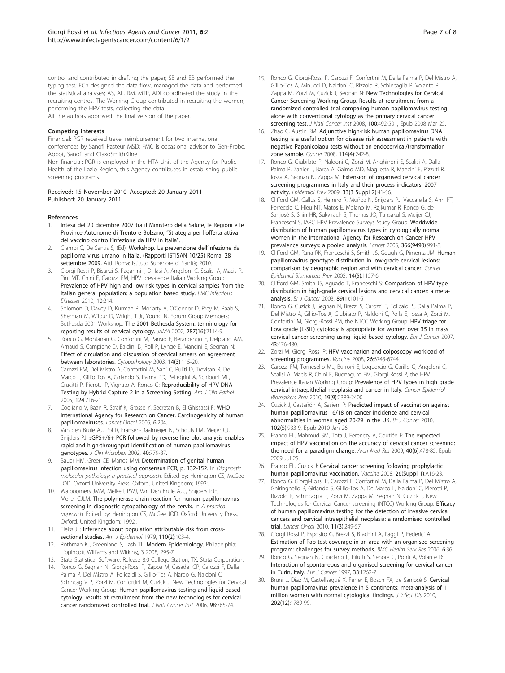<span id="page-6-0"></span>control and contributed in drafting the paper; SB and EB performed the typing test; FCh designed the data flow, managed the data and performed the statistical analyses; AS, AL, RM, MTP, ADI coordinated the study in the recruiting centres. The Working Group contributed in recruiting the women, performing the HPV tests, collecting the data.

All the authors approved the final version of the paper.

#### Competing interests

Financial: PGR received travel reimbursement for two international conferences by Sanofi Pasteur MSD; FMC is occasional advisor to Gen-Probe, Abbot, Sanofi and GlaxoSmithKline.

Non financial: PGR is employed in the HTA Unit of the Agency for Public Health of the Lazio Region, this Agency contributes in establishing public screening programs.

#### Received: 15 November 2010 Accepted: 20 January 2011 Published: 20 January 2011

#### References

- 1. Intesa del 20 dicembre 2007 tra il Ministero della Salute, le Regioni e le Province Autonome di Trento e Bolzano, "Strategia per l'offerta attiva del vaccino contro l'infezione da HPV in Italia". .
- 2. Giambi C, De Santis S, (Ed): Workshop. La prevenzione dell'infezione da papilloma virus umano in Italia. (Rapporti ISTISAN 10/25) Roma, 28 settembre 2009. Atti. Roma: Istituto Superiore di Sanità; 2010.
- 3. Giorgi Rossi P, Bisanzi S, Paganini I, Di Iasi A, Angeloni C, Scalisi A, Macis R, Pini MT, Chini F, Carozzi FM, HPV prevalence Italian Working Group: [Prevalence of HPV high and low risk types in cervical samples from the](http://www.ncbi.nlm.nih.gov/pubmed/20646310?dopt=Abstract) [Italian general population: a population based study.](http://www.ncbi.nlm.nih.gov/pubmed/20646310?dopt=Abstract) BMC Infectious Diseases 2010, 10:214.
- 4. Solomon D, Davey D, Kurman R, Moriarty A, O'Connor D, Prey M, Raab S, Sherman M, Wilbur D, Wright T Jr, Young N, Forum Group Members; Bethesda 2001 Workshop: [The 2001 Bethesda System: terminology for](http://www.ncbi.nlm.nih.gov/pubmed/11966386?dopt=Abstract) [reporting results of cervical cytology.](http://www.ncbi.nlm.nih.gov/pubmed/11966386?dopt=Abstract) JAMA 2002, 287(16):2114-9.
- 5. Ronco G, Montanari G, Confortini M, Parisio F, Berardengo E, Delpiano AM, Arnaud S, Campione D, Baldini D, Poll P, Lynge E, Mancini E, Segnan N: [Effect of circulation and discussion of cervical smears on agreement](http://www.ncbi.nlm.nih.gov/pubmed/12828719?dopt=Abstract) [between laboratories.](http://www.ncbi.nlm.nih.gov/pubmed/12828719?dopt=Abstract) Cytopathology 2003, 14(3):115-20.
- 6. Carozzi FM, Del Mistro A, Confortini M, Sani C, Puliti D, Trevisan R, De Marco L, Gillio Tos A, Girlando S, Palma PD, Pellegrini A, Schiboni ML, Crucitti P, Pierotti P, Vignato A, Ronco G: [Reproducibility of HPV DNA](http://www.ncbi.nlm.nih.gov/pubmed/16203283?dopt=Abstract) [Testing by Hybrid Capture 2 in a Screening Setting.](http://www.ncbi.nlm.nih.gov/pubmed/16203283?dopt=Abstract) Am J Clin Pathol 2005, 124:716-21.
- 7. Cogliano V, Baan R, Straif K, Grosse Y, Secretan B, El Ghissassi F: [WHO](http://www.ncbi.nlm.nih.gov/pubmed/15830458?dopt=Abstract) [International Agency for Research on Cancer. Carcinogenicity of human](http://www.ncbi.nlm.nih.gov/pubmed/15830458?dopt=Abstract) [papillomaviruses.](http://www.ncbi.nlm.nih.gov/pubmed/15830458?dopt=Abstract) Lancet Oncol 2005, 6:204.
- 8. Van den Brule AJ, Pol R, Fransen-Daalmeijer N, Schouls LM, Meijer CJ, Snijders PJ: [sGP5+/6+ PCR followed by reverse line blot analysis enables](http://www.ncbi.nlm.nih.gov/pubmed/11880393?dopt=Abstract) [rapid and high-throughput identification of human papillomavirus](http://www.ncbi.nlm.nih.gov/pubmed/11880393?dopt=Abstract) [genotypes.](http://www.ncbi.nlm.nih.gov/pubmed/11880393?dopt=Abstract) J Clin Microbiol 2002, 40:779-87.
- Bauer HM, Greer CE, Manos MM: Determination of genital human papillomavirus infection using consensus PCR, p. 132-152. In Diagnostic molecular pathology: a practical approach. Edited by: Herrington CS, McGee JOD. Oxford University Press, Oxford, United Kingdom; 1992:.
- 10. Walboomers JMM, Melkert PWJ, Van Den Brule AJC, Snijders PJF, Meijer CJLM: The polymerase chain reaction for human papillomavirus screening in diagnostic cytopathology of the cervix. In A practical approach. Edited by: Herrington CS, McGee JOD. Oxford University Press, Oxford, United Kingdom; 1992:.
- 11. Fleiss JL: [Inference about population attributable risk from cross](http://www.ncbi.nlm.nih.gov/pubmed/313702?dopt=Abstract)[sectional studies.](http://www.ncbi.nlm.nih.gov/pubmed/313702?dopt=Abstract) Am J Epidemiol 1979, 110(2):103-4.
- 12. Rothman KJ, Greenland S, Lash TL: Modern Epidemiology. Philadelphia: Lippincott Williams and Witkins;, 3 2008, 295-7.
- 13. Stata Statistical Software: Release 8.0 College Station, TX: Stata Corporation.
- 14. Ronco G, Segnan N, Giorgi-Rossi P, Zappa M, Casadei GP, Carozzi F, Dalla Palma P, Del Mistro A, Folicaldi S, Gillio-Tos A, Nardo G, Naldoni C, Schincaglia P, Zorzi M, Confortini M, Cuzick J, New Technologies for Cervical Cancer Working Group: [Human papillomavirus testing and liquid-based](http://www.ncbi.nlm.nih.gov/pubmed/16757701?dopt=Abstract) [cytology: results at recruitment from the new technologies for cervical](http://www.ncbi.nlm.nih.gov/pubmed/16757701?dopt=Abstract) [cancer randomized controlled trial.](http://www.ncbi.nlm.nih.gov/pubmed/16757701?dopt=Abstract) J Natl Cancer Inst 2006, 98:765-74.
- 15. Ronco G, Giorgi-Rossi P, Carozzi F, Confortini M, Dalla Palma P, Del Mistro A, Gillio-Tos A, Minucci D, Naldoni C, Rizzolo R, Schincaglia P, Volante R, Zappa M, Zorzi M, Cuzick J, Segnan N: [New Technologies for Cervical](http://www.ncbi.nlm.nih.gov/pubmed/18364502?dopt=Abstract) [Cancer Screening Working Group. Results at recruitment from a](http://www.ncbi.nlm.nih.gov/pubmed/18364502?dopt=Abstract) [randomized controlled trial comparing human papillomavirus testing](http://www.ncbi.nlm.nih.gov/pubmed/18364502?dopt=Abstract) [alone with conventional cytology as the primary cervical cancer](http://www.ncbi.nlm.nih.gov/pubmed/18364502?dopt=Abstract) [screening test.](http://www.ncbi.nlm.nih.gov/pubmed/18364502?dopt=Abstract) J Natl Cancer Inst 2008, 100:492-501, Epub 2008 Mar 25.
- 16. Zhao C, Austin RM: [Adjunctive high-risk human papillomavirus DNA](http://www.ncbi.nlm.nih.gov/pubmed/18484643?dopt=Abstract) [testing is a useful option for disease risk assessment in patients with](http://www.ncbi.nlm.nih.gov/pubmed/18484643?dopt=Abstract) [negative Papanicolaou tests without an endocervical/transformation](http://www.ncbi.nlm.nih.gov/pubmed/18484643?dopt=Abstract) [zone sample.](http://www.ncbi.nlm.nih.gov/pubmed/18484643?dopt=Abstract) Cancer 2008, 114(4):242-8.
- 17. Ronco G, Giubilato P, Naldoni C, Zorzi M, Anghinoni E, Scalisi A, Dalla Palma P, Zanier L, Barca A, Gaimo MD, Maglietta R, Mancini E, Pizzuti R, Iossa A, Segnan N, Zappa M: [Extension of organised cervical cancer](http://www.ncbi.nlm.nih.gov/pubmed/19776486?dopt=Abstract) [screening programmes in Italy and their process indicators: 2007](http://www.ncbi.nlm.nih.gov/pubmed/19776486?dopt=Abstract) [activity.](http://www.ncbi.nlm.nih.gov/pubmed/19776486?dopt=Abstract) Epidemiol Prev 2009, 33(3 Suppl 2):41-56.
- 18. Clifford GM, Gallus S, Herrero R, Muñoz N, Snijders PJ, Vaccarella S, Anh PT, Ferreccio C, Hieu NT, Matos E, Molano M, Rajkumar R, Ronco G, de Sanjosé S, Shin HR, Sukvirach S, Thomas JO, Tunsakul S, Meijer CJ, Franceschi S, IARC HPV Prevalence Surveys Study Group: [Worldwide](http://www.ncbi.nlm.nih.gov/pubmed/16168781?dopt=Abstract) [distribution of human papillomavirus types in cytologically normal](http://www.ncbi.nlm.nih.gov/pubmed/16168781?dopt=Abstract) [women in the International Agency for Research on Cancer HPV](http://www.ncbi.nlm.nih.gov/pubmed/16168781?dopt=Abstract) [prevalence surveys: a pooled analysis.](http://www.ncbi.nlm.nih.gov/pubmed/16168781?dopt=Abstract) Lancet 2005, 366(9490):991-8.
- 19. Clifford GM, Rana RK, Franceschi S, Smith JS, Gough G, Pimenta JM: [Human](http://www.ncbi.nlm.nih.gov/pubmed/15894666?dopt=Abstract) [papillomavirus genotype distribution in low-grade cervical lesions:](http://www.ncbi.nlm.nih.gov/pubmed/15894666?dopt=Abstract) [comparison by geographic region and with cervical cancer.](http://www.ncbi.nlm.nih.gov/pubmed/15894666?dopt=Abstract) Cancer Epidemiol Biomarkers Prev 2005, 14(5):1157-6.
- 20. Clifford GM, Smith JS, Aguado T, Franceschi S: [Comparison of HPV type](http://www.ncbi.nlm.nih.gov/pubmed/12838308?dopt=Abstract) [distribution in high-grade cervical lesions and cervical cancer: a meta](http://www.ncbi.nlm.nih.gov/pubmed/12838308?dopt=Abstract)[analysis.](http://www.ncbi.nlm.nih.gov/pubmed/12838308?dopt=Abstract) Br J Cancer 2003, 89(1):101-5.
- 21. Ronco G, Cuzick J, Segnan N, Brezzi S, Carozzi F, Folicaldi S, Dalla Palma P, Del Mistro A, Gillio-Tos A, Giubilato P, Naldoni C, Polla E, Iossa A, Zorzi M, Confortini M, Giorgi-Rossi PM, the NTCC Working Group: [HPV triage for](http://www.ncbi.nlm.nih.gov/pubmed/17223540?dopt=Abstract) [Low grade \(L-SIL\) cytology is appropriate for women over 35 in mass](http://www.ncbi.nlm.nih.gov/pubmed/17223540?dopt=Abstract) [cervical cancer screening using liquid based cytology.](http://www.ncbi.nlm.nih.gov/pubmed/17223540?dopt=Abstract) Eur J Cancer 2007, 43:476-480.
- 22. Zorzi M, Giorgi Rossi P: [HPV vaccination and colposcopy workload of](http://www.ncbi.nlm.nih.gov/pubmed/18950669?dopt=Abstract) [screening programmes.](http://www.ncbi.nlm.nih.gov/pubmed/18950669?dopt=Abstract) Vaccine 2008, 26:6743-6744.
- 23. Carozzi FM, Tornesello ML, Burroni E, Loquercio G, Carillo G, Angeloni C, Scalisi A, Macis R, Chini F, Buonaguro FM, Giorgi Rossi P, the HPV Prevalence Italian Working Group: [Prevalence of HPV types in high grade](http://www.ncbi.nlm.nih.gov/pubmed/20826836?dopt=Abstract) [cervical intraepithelial neoplasia and cancer in Italy.](http://www.ncbi.nlm.nih.gov/pubmed/20826836?dopt=Abstract) Cancer Epidemiol Biomarkers Prev 2010, 19(9):2389-2400.
- 24. Cuzick J, Castañón A, Sasieni P: [Predicted impact of vaccination against](http://www.ncbi.nlm.nih.gov/pubmed/20104226?dopt=Abstract) [human papillomavirus 16/18 on cancer incidence and cervical](http://www.ncbi.nlm.nih.gov/pubmed/20104226?dopt=Abstract) [abnormalities in women aged 20-29 in the UK.](http://www.ncbi.nlm.nih.gov/pubmed/20104226?dopt=Abstract) Br J Cancer 2010, 102(5):933-9, Epub 2010 Jan 26.
- 25. Franco EL, Mahmud SM, Tota J, Ferenczy A, Coutlée F: [The expected](http://www.ncbi.nlm.nih.gov/pubmed/19853188?dopt=Abstract) [impact of HPV vaccination on the accuracy of cervical cancer screening:](http://www.ncbi.nlm.nih.gov/pubmed/19853188?dopt=Abstract) [the need for a paradigm change.](http://www.ncbi.nlm.nih.gov/pubmed/19853188?dopt=Abstract) Arch Med Res 2009, 40(6):478-85, Epub 2009 Jul 25.
- 26. Franco EL, Cuzick J: [Cervical cancer screening following prophylactic](http://www.ncbi.nlm.nih.gov/pubmed/18642468?dopt=Abstract) [human papillomavirus vaccination.](http://www.ncbi.nlm.nih.gov/pubmed/18642468?dopt=Abstract) Vaccine 2008, 26(Suppl 1):A16-23.
- 27. Ronco G, Giorgi-Rossi P, Carozzi F, Confortini M, Dalla Palma P, Del Mistro A, Ghiringhello B, Girlando S, Gillio-Tos A, De Marco L, Naldoni C, Pierotti P, Rizzolo R, Schincaglia P, Zorzi M, Zappa M, Segnan N, Cuzick J, New Technologies for Cervical Cancer screening (NTCC) Working Group: [Efficacy](http://www.ncbi.nlm.nih.gov/pubmed/20089449?dopt=Abstract) [of human papillomavirus testing for the detection of invasive cervical](http://www.ncbi.nlm.nih.gov/pubmed/20089449?dopt=Abstract) [cancers and cervical intraepithelial neoplasia: a randomised controlled](http://www.ncbi.nlm.nih.gov/pubmed/20089449?dopt=Abstract) [trial.](http://www.ncbi.nlm.nih.gov/pubmed/20089449?dopt=Abstract) Lancet Oncol 2010, 11(3):249-57.
- 28. Giorgi Rossi P, Esposito G, Brezzi S, Brachini A, Raggi P, Federici A: [Estimation of Pap-test coverage in an area with an organised screening](http://www.ncbi.nlm.nih.gov/pubmed/16545125?dopt=Abstract) [program: challenges for survey methods.](http://www.ncbi.nlm.nih.gov/pubmed/16545125?dopt=Abstract) BMC Health Serv Res 2006, 6:36.
- 29. Ronco G, Segnan N, Giordano L, Pilutti S, Senore C, Ponti A, Volante R: [Interaction of spontaneous and organised screening for cervical cancer](http://www.ncbi.nlm.nih.gov/pubmed/9301453?dopt=Abstract) [in Turin, Italy.](http://www.ncbi.nlm.nih.gov/pubmed/9301453?dopt=Abstract) Eur J Cancer 1997, 33:1262-7.
- 30. Bruni L, Diaz M, Castellsagué X, Ferrer E, Bosch FX, de Sanjosé S: [Cervical](http://www.ncbi.nlm.nih.gov/pubmed/21067372?dopt=Abstract) [human papillomavirus prevalence in 5 continents: meta-analysis of 1](http://www.ncbi.nlm.nih.gov/pubmed/21067372?dopt=Abstract) [million women with normal cytological findings.](http://www.ncbi.nlm.nih.gov/pubmed/21067372?dopt=Abstract) J Infect Dis 2010, 202(12):1789-99.